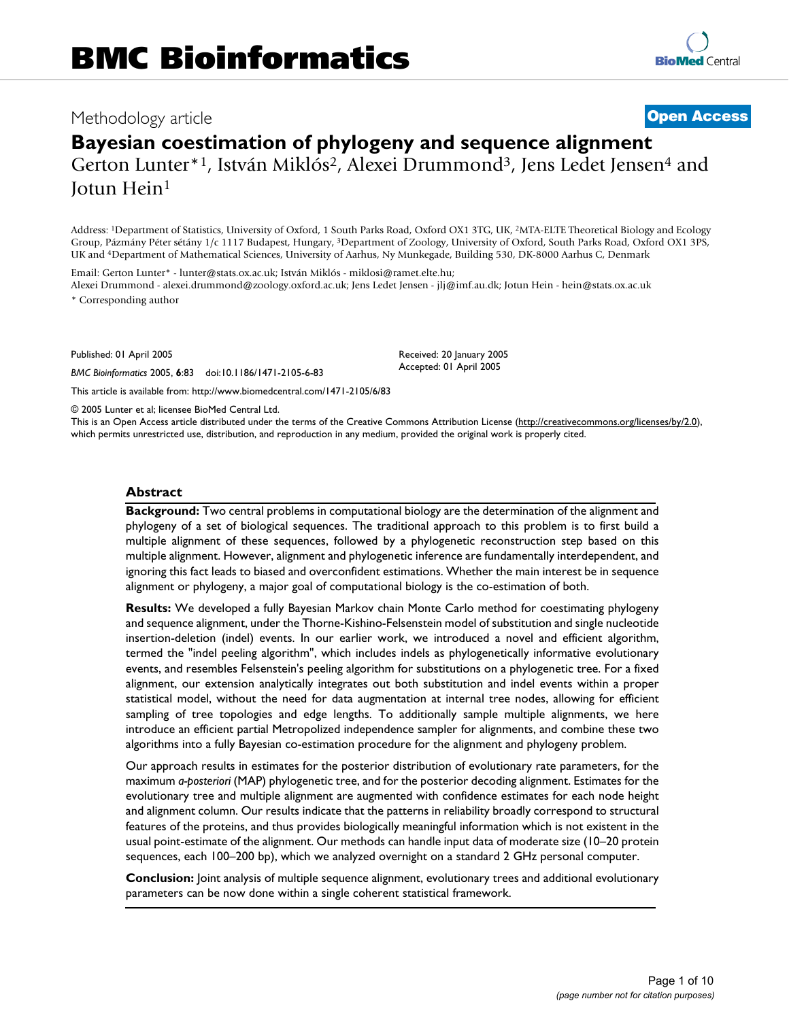# Methodology article **[Open Access](http://www.biomedcentral.com/info/about/charter/)**

# **Bayesian coestimation of phylogeny and sequence alignment** Gerton Lunter<sup>\*1</sup>, István Miklós<sup>2</sup>, Alexei Drummond<sup>3</sup>, Jens Ledet Jensen<sup>4</sup> and Jotun Hein1

Address: 1Department of Statistics, University of Oxford, 1 South Parks Road, Oxford OX1 3TG, UK, 2MTA-ELTE Theoretical Biology and Ecology Group, Pázmány Péter sétány 1/c 1117 Budapest, Hungary, 3Department of Zoology, University of Oxford, South Parks Road, Oxford OX1 3PS, UK and 4Department of Mathematical Sciences, University of Aarhus, Ny Munkegade, Building 530, DK-8000 Aarhus C, Denmark

Email: Gerton Lunter\* - lunter@stats.ox.ac.uk; István Miklós - miklosi@ramet.elte.hu;

Alexei Drummond - alexei.drummond@zoology.oxford.ac.uk; Jens Ledet Jensen - jlj@imf.au.dk; Jotun Hein - hein@stats.ox.ac.uk \* Corresponding author

Published: 01 April 2005

*BMC Bioinformatics* 2005, **6**:83 doi:10.1186/1471-2105-6-83

[This article is available from: http://www.biomedcentral.com/1471-2105/6/83](http://www.biomedcentral.com/1471-2105/6/83)

© 2005 Lunter et al; licensee BioMed Central Ltd.

This is an Open Access article distributed under the terms of the Creative Commons Attribution License [\(http://creativecommons.org/licenses/by/2.0\)](http://creativecommons.org/licenses/by/2.0), which permits unrestricted use, distribution, and reproduction in any medium, provided the original work is properly cited.

Received: 20 January 2005 Accepted: 01 April 2005

#### **Abstract**

**Background:** Two central problems in computational biology are the determination of the alignment and phylogeny of a set of biological sequences. The traditional approach to this problem is to first build a multiple alignment of these sequences, followed by a phylogenetic reconstruction step based on this multiple alignment. However, alignment and phylogenetic inference are fundamentally interdependent, and ignoring this fact leads to biased and overconfident estimations. Whether the main interest be in sequence alignment or phylogeny, a major goal of computational biology is the co-estimation of both.

**Results:** We developed a fully Bayesian Markov chain Monte Carlo method for coestimating phylogeny and sequence alignment, under the Thorne-Kishino-Felsenstein model of substitution and single nucleotide insertion-deletion (indel) events. In our earlier work, we introduced a novel and efficient algorithm, termed the "indel peeling algorithm", which includes indels as phylogenetically informative evolutionary events, and resembles Felsenstein's peeling algorithm for substitutions on a phylogenetic tree. For a fixed alignment, our extension analytically integrates out both substitution and indel events within a proper statistical model, without the need for data augmentation at internal tree nodes, allowing for efficient sampling of tree topologies and edge lengths. To additionally sample multiple alignments, we here introduce an efficient partial Metropolized independence sampler for alignments, and combine these two algorithms into a fully Bayesian co-estimation procedure for the alignment and phylogeny problem.

Our approach results in estimates for the posterior distribution of evolutionary rate parameters, for the maximum *a-posteriori* (MAP) phylogenetic tree, and for the posterior decoding alignment. Estimates for the evolutionary tree and multiple alignment are augmented with confidence estimates for each node height and alignment column. Our results indicate that the patterns in reliability broadly correspond to structural features of the proteins, and thus provides biologically meaningful information which is not existent in the usual point-estimate of the alignment. Our methods can handle input data of moderate size (10–20 protein sequences, each 100–200 bp), which we analyzed overnight on a standard 2 GHz personal computer.

**Conclusion:** Joint analysis of multiple sequence alignment, evolutionary trees and additional evolutionary parameters can be now done within a single coherent statistical framework.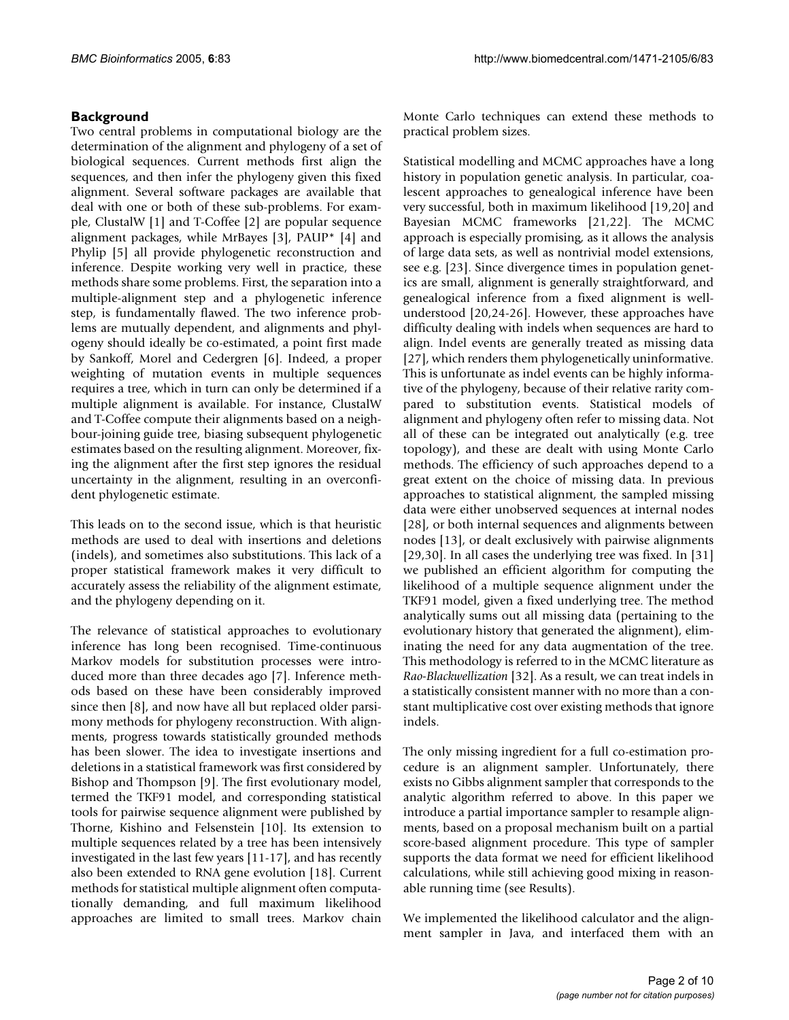## **Background**

Two central problems in computational biology are the determination of the alignment and phylogeny of a set of biological sequences. Current methods first align the sequences, and then infer the phylogeny given this fixed alignment. Several software packages are available that deal with one or both of these sub-problems. For example, ClustalW [1] and T-Coffee [2] are popular sequence alignment packages, while MrBayes [3], PAUP\* [4] and Phylip [5] all provide phylogenetic reconstruction and inference. Despite working very well in practice, these methods share some problems. First, the separation into a multiple-alignment step and a phylogenetic inference step, is fundamentally flawed. The two inference problems are mutually dependent, and alignments and phylogeny should ideally be co-estimated, a point first made by Sankoff, Morel and Cedergren [6]. Indeed, a proper weighting of mutation events in multiple sequences requires a tree, which in turn can only be determined if a multiple alignment is available. For instance, ClustalW and T-Coffee compute their alignments based on a neighbour-joining guide tree, biasing subsequent phylogenetic estimates based on the resulting alignment. Moreover, fixing the alignment after the first step ignores the residual uncertainty in the alignment, resulting in an overconfident phylogenetic estimate.

This leads on to the second issue, which is that heuristic methods are used to deal with insertions and deletions (indels), and sometimes also substitutions. This lack of a proper statistical framework makes it very difficult to accurately assess the reliability of the alignment estimate, and the phylogeny depending on it.

The relevance of statistical approaches to evolutionary inference has long been recognised. Time-continuous Markov models for substitution processes were introduced more than three decades ago [7]. Inference methods based on these have been considerably improved since then [8], and now have all but replaced older parsimony methods for phylogeny reconstruction. With alignments, progress towards statistically grounded methods has been slower. The idea to investigate insertions and deletions in a statistical framework was first considered by Bishop and Thompson [9]. The first evolutionary model, termed the TKF91 model, and corresponding statistical tools for pairwise sequence alignment were published by Thorne, Kishino and Felsenstein [10]. Its extension to multiple sequences related by a tree has been intensively investigated in the last few years [11-17], and has recently also been extended to RNA gene evolution [18]. Current methods for statistical multiple alignment often computationally demanding, and full maximum likelihood approaches are limited to small trees. Markov chain Monte Carlo techniques can extend these methods to practical problem sizes.

Statistical modelling and MCMC approaches have a long history in population genetic analysis. In particular, coalescent approaches to genealogical inference have been very successful, both in maximum likelihood [19,20] and Bayesian MCMC frameworks [21,22]. The MCMC approach is especially promising, as it allows the analysis of large data sets, as well as nontrivial model extensions, see e.g. [23]. Since divergence times in population genetics are small, alignment is generally straightforward, and genealogical inference from a fixed alignment is wellunderstood [20,24-26]. However, these approaches have difficulty dealing with indels when sequences are hard to align. Indel events are generally treated as missing data [27], which renders them phylogenetically uninformative. This is unfortunate as indel events can be highly informative of the phylogeny, because of their relative rarity compared to substitution events. Statistical models of alignment and phylogeny often refer to missing data. Not all of these can be integrated out analytically (e.g. tree topology), and these are dealt with using Monte Carlo methods. The efficiency of such approaches depend to a great extent on the choice of missing data. In previous approaches to statistical alignment, the sampled missing data were either unobserved sequences at internal nodes [28], or both internal sequences and alignments between nodes [13], or dealt exclusively with pairwise alignments [29,30]. In all cases the underlying tree was fixed. In [31] we published an efficient algorithm for computing the likelihood of a multiple sequence alignment under the TKF91 model, given a fixed underlying tree. The method analytically sums out all missing data (pertaining to the evolutionary history that generated the alignment), eliminating the need for any data augmentation of the tree. This methodology is referred to in the MCMC literature as *Rao-Blackwellization* [32]. As a result, we can treat indels in a statistically consistent manner with no more than a constant multiplicative cost over existing methods that ignore indels.

The only missing ingredient for a full co-estimation procedure is an alignment sampler. Unfortunately, there exists no Gibbs alignment sampler that corresponds to the analytic algorithm referred to above. In this paper we introduce a partial importance sampler to resample alignments, based on a proposal mechanism built on a partial score-based alignment procedure. This type of sampler supports the data format we need for efficient likelihood calculations, while still achieving good mixing in reasonable running time (see Results).

We implemented the likelihood calculator and the alignment sampler in Java, and interfaced them with an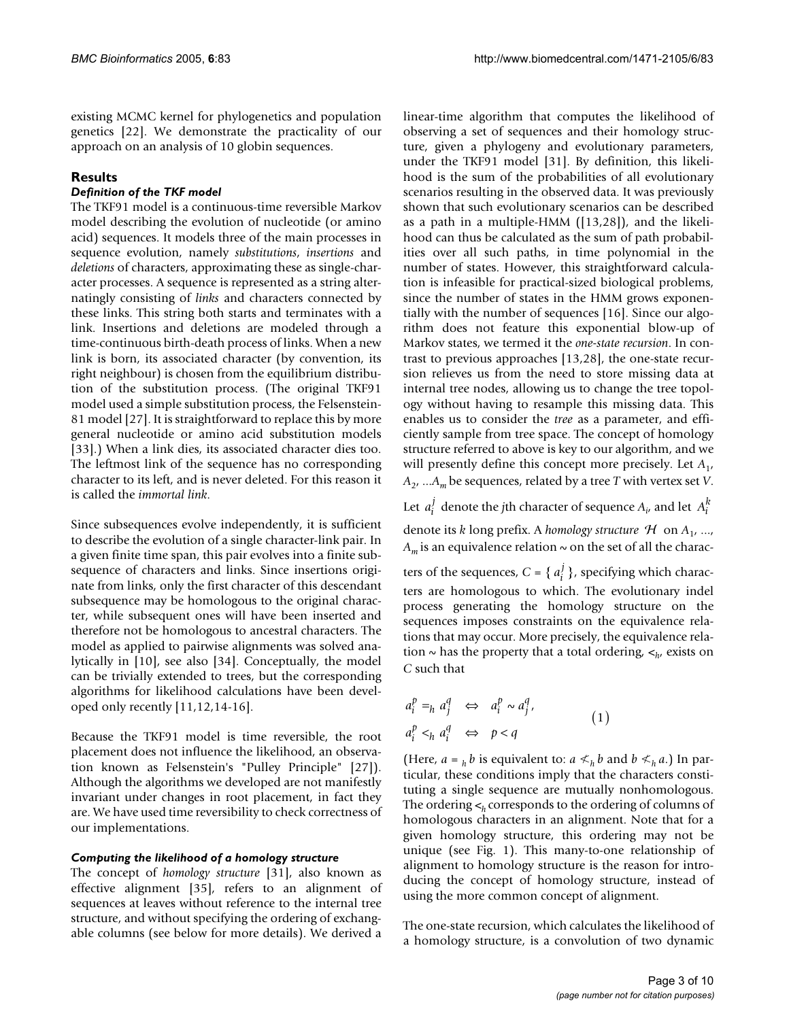existing MCMC kernel for phylogenetics and population genetics [22]. We demonstrate the practicality of our approach on an analysis of 10 globin sequences.

#### **Results**

#### *Definition of the TKF model*

The TKF91 model is a continuous-time reversible Markov model describing the evolution of nucleotide (or amino acid) sequences. It models three of the main processes in sequence evolution, namely *substitutions*, *insertions* and *deletions* of characters, approximating these as single-character processes. A sequence is represented as a string alternatingly consisting of *links* and characters connected by these links. This string both starts and terminates with a link. Insertions and deletions are modeled through a time-continuous birth-death process of links. When a new link is born, its associated character (by convention, its right neighbour) is chosen from the equilibrium distribution of the substitution process. (The original TKF91 model used a simple substitution process, the Felsenstein-81 model [27]. It is straightforward to replace this by more general nucleotide or amino acid substitution models [33].) When a link dies, its associated character dies too. The leftmost link of the sequence has no corresponding character to its left, and is never deleted. For this reason it is called the *immortal link*.

Since subsequences evolve independently, it is sufficient to describe the evolution of a single character-link pair. In a given finite time span, this pair evolves into a finite subsequence of characters and links. Since insertions originate from links, only the first character of this descendant subsequence may be homologous to the original character, while subsequent ones will have been inserted and therefore not be homologous to ancestral characters. The model as applied to pairwise alignments was solved analytically in [10], see also [34]. Conceptually, the model can be trivially extended to trees, but the corresponding algorithms for likelihood calculations have been developed only recently [11,12,14-16].

Because the TKF91 model is time reversible, the root placement does not influence the likelihood, an observation known as Felsenstein's "Pulley Principle" [27]). Although the algorithms we developed are not manifestly invariant under changes in root placement, in fact they are. We have used time reversibility to check correctness of our implementations.

#### *Computing the likelihood of a homology structure*

The concept of *homology structure* [31], also known as effective alignment [35], refers to an alignment of sequences at leaves without reference to the internal tree structure, and without specifying the ordering of exchangable columns (see below for more details). We derived a

linear-time algorithm that computes the likelihood of observing a set of sequences and their homology structure, given a phylogeny and evolutionary parameters, under the TKF91 model [31]. By definition, this likelihood is the sum of the probabilities of all evolutionary scenarios resulting in the observed data. It was previously shown that such evolutionary scenarios can be described as a path in a multiple-HMM ([13,28]), and the likelihood can thus be calculated as the sum of path probabilities over all such paths, in time polynomial in the number of states. However, this straightforward calculation is infeasible for practical-sized biological problems, since the number of states in the HMM grows exponentially with the number of sequences [16]. Since our algorithm does not feature this exponential blow-up of Markov states, we termed it the *one-state recursion*. In contrast to previous approaches [13,28], the one-state recursion relieves us from the need to store missing data at internal tree nodes, allowing us to change the tree topology without having to resample this missing data. This enables us to consider the *tree* as a parameter, and efficiently sample from tree space. The concept of homology structure referred to above is key to our algorithm, and we will presently define this concept more precisely. Let  $A_1$ , *A*2, ...*Am* be sequences, related by a tree *T* with vertex set *V*.

Let  $a_i^j$  denote the *j*th character of sequence  $A_i$ , and let  $A_i^k$ 

denote its *k* long prefix. A *homology structure*  $\mathcal H$  on  $A_1$ , ...,  $A_m$  is an equivalence relation  $\sim$  on the set of all the charac-

ters of the sequences,  $C = \{a_i^j\}$ , specifying which characters are homologous to which. The evolutionary indel process generating the homology structure on the sequences imposes constraints on the equivalence relations that may occur. More precisely, the equivalence relation  $\sim$  has the property that a total ordering,  $\lt_{h'}$  exists on *C* such that

$$
a_i^p =_{h} a_j^q \iff a_i^p \sim a_j^q,
$$
  
\n
$$
a_i^p <_{h} a_i^q \iff p < q
$$
\n
$$
(1)
$$

(Here,  $a = h b$  is equivalent to:  $a \nless_h b$  and  $b \nless_h a$ .) In particular, these conditions imply that the characters constituting a single sequence are mutually nonhomologous. The ordering  $\lt_{h}$  corresponds to the ordering of columns of homologous characters in an alignment. Note that for a given homology structure, this ordering may not be unique (see Fig. 1). This many-to-one relationship of alignment to homology structure is the reason for introducing the concept of homology structure, instead of using the more common concept of alignment.

The one-state recursion, which calculates the likelihood of a homology structure, is a convolution of two dynamic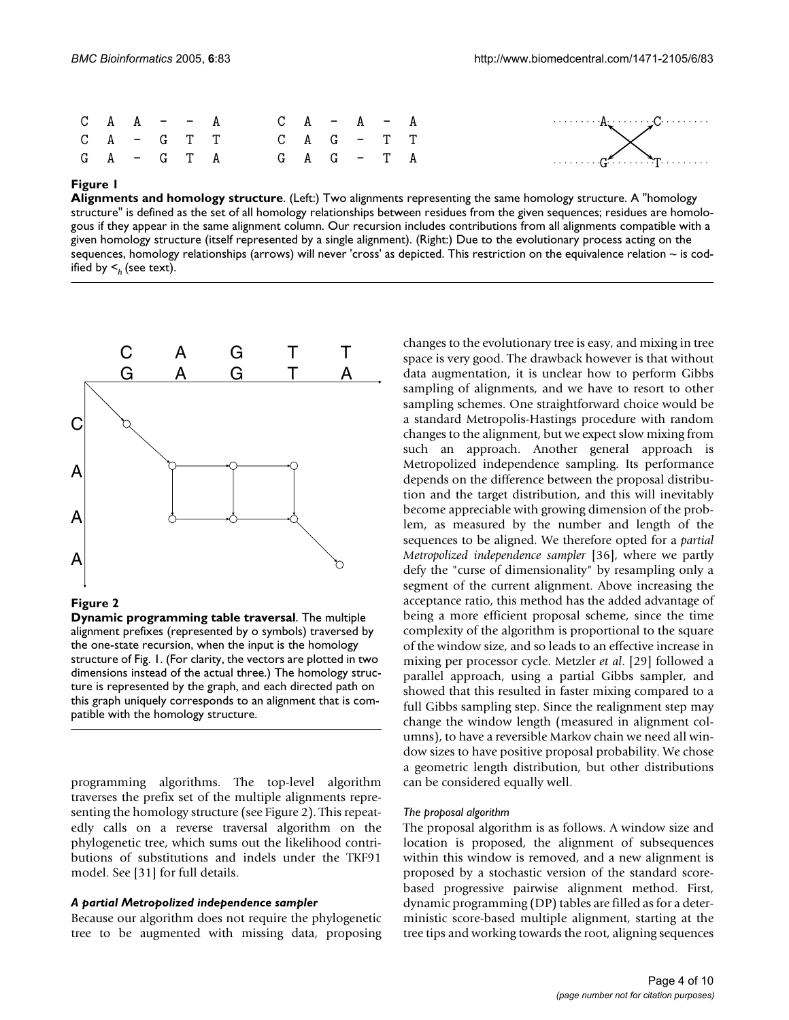|  |  |  | $C$ A A $-$ A $C$ A $-$ A $-$ A       |  |  |  | $\sim A$ $\sim C$ |
|--|--|--|---------------------------------------|--|--|--|-------------------|
|  |  |  | CA - GTT CA G - TT                    |  |  |  |                   |
|  |  |  | $G$ $A$ $ G$ $T$ $A$ $G$ $G$ $ T$ $A$ |  |  |  |                   |

**Alignments and homology structure**. (Left:) Two alignments representing the same homology structure. A "homology structure" is defined as the set of all homology relationships between residues from the given sequences; residues are homologous if they appear in the same alignment column. Our recursion includes contributions from all alignments compatible with a given homology structure (itself represented by a single alignment). (Right:) Due to the evolutionary process acting on the sequences, homology relationships (arrows) will never 'cross' as depicted. This restriction on the equivalence relation ~ is codified by  $\leq_h$  (see text).



#### **Figure 2**

**Dynamic programming table traversal**. The multiple alignment prefixes (represented by o symbols) traversed by the one-state recursion, when the input is the homology structure of Fig. 1. (For clarity, the vectors are plotted in two dimensions instead of the actual three.) The homology structure is represented by the graph, and each directed path on this graph uniquely corresponds to an alignment that is compatible with the homology structure.

programming algorithms. The top-level algorithm traverses the prefix set of the multiple alignments representing the homology structure (see Figure 2). This repeatedly calls on a reverse traversal algorithm on the phylogenetic tree, which sums out the likelihood contributions of substitutions and indels under the TKF91 model. See [31] for full details.

#### *A partial Metropolized independence sampler*

Because our algorithm does not require the phylogenetic tree to be augmented with missing data, proposing changes to the evolutionary tree is easy, and mixing in tree space is very good. The drawback however is that without data augmentation, it is unclear how to perform Gibbs sampling of alignments, and we have to resort to other sampling schemes. One straightforward choice would be a standard Metropolis-Hastings procedure with random changes to the alignment, but we expect slow mixing from such an approach. Another general approach is Metropolized independence sampling. Its performance depends on the difference between the proposal distribution and the target distribution, and this will inevitably become appreciable with growing dimension of the problem, as measured by the number and length of the sequences to be aligned. We therefore opted for a *partial Metropolized independence sampler* [36], where we partly defy the "curse of dimensionality" by resampling only a segment of the current alignment. Above increasing the acceptance ratio, this method has the added advantage of being a more efficient proposal scheme, since the time complexity of the algorithm is proportional to the square of the window size, and so leads to an effective increase in mixing per processor cycle. Metzler *et al*. [29] followed a parallel approach, using a partial Gibbs sampler, and showed that this resulted in faster mixing compared to a full Gibbs sampling step. Since the realignment step may change the window length (measured in alignment columns), to have a reversible Markov chain we need all window sizes to have positive proposal probability. We chose a geometric length distribution, but other distributions can be considered equally well.

#### *The proposal algorithm*

The proposal algorithm is as follows. A window size and location is proposed, the alignment of subsequences within this window is removed, and a new alignment is proposed by a stochastic version of the standard scorebased progressive pairwise alignment method. First, dynamic programming (DP) tables are filled as for a deterministic score-based multiple alignment, starting at the tree tips and working towards the root, aligning sequences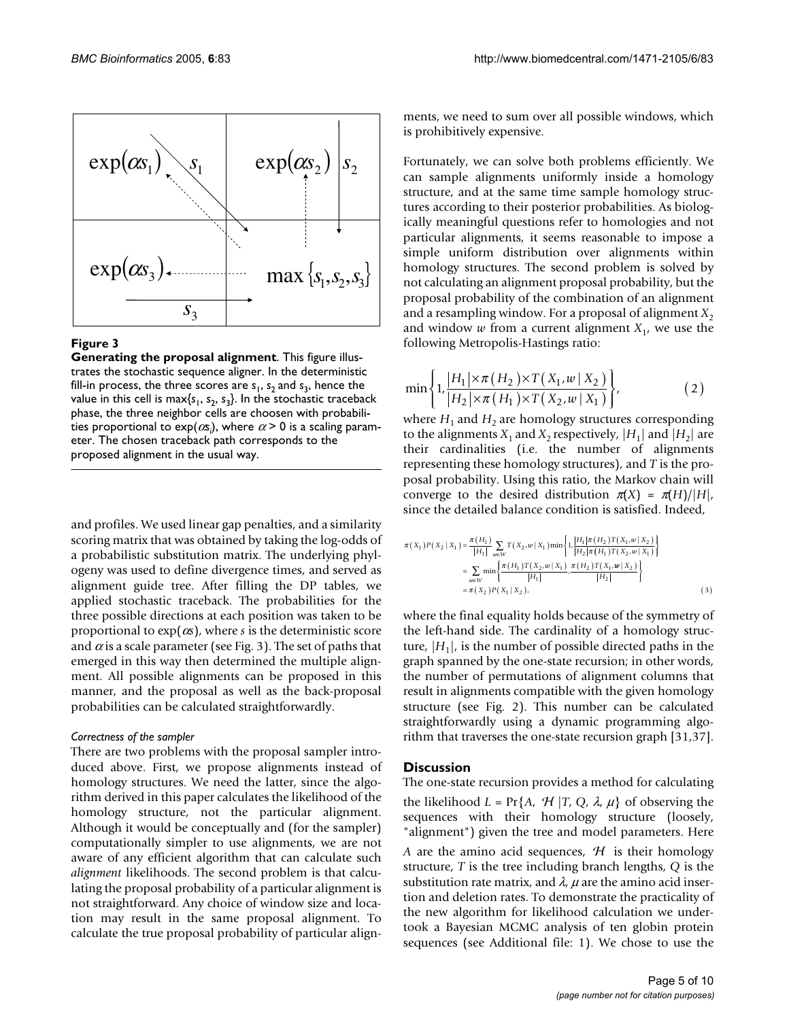

**Generating the proposal alignment**. This figure illustrates the stochastic sequence aligner. In the deterministic fill-in process, the three scores are  $s_1$ ,  $s_2$  and  $s_3$ , hence the value in this cell is max $\{s_1, s_2, s_3\}$ . In the stochastic traceback phase, the three neighbor cells are choosen with probabilities proportional to exp $(\alpha\text{s}_i)$ , where  $\alpha$  > 0 is a scaling parameter. The chosen traceback path corresponds to the proposed alignment in the usual way.

and profiles. We used linear gap penalties, and a similarity scoring matrix that was obtained by taking the log-odds of a probabilistic substitution matrix. The underlying phylogeny was used to define divergence times, and served as alignment guide tree. After filling the DP tables, we applied stochastic traceback. The probabilities for the three possible directions at each position was taken to be proportional to exp(α*s*), where *s* is the deterministic score and  $\alpha$  is a scale parameter (see Fig. 3). The set of paths that emerged in this way then determined the multiple alignment. All possible alignments can be proposed in this manner, and the proposal as well as the back-proposal probabilities can be calculated straightforwardly.

#### *Correctness of the sampler*

There are two problems with the proposal sampler introduced above. First, we propose alignments instead of homology structures. We need the latter, since the algorithm derived in this paper calculates the likelihood of the homology structure, not the particular alignment. Although it would be conceptually and (for the sampler) computationally simpler to use alignments, we are not aware of any efficient algorithm that can calculate such *alignment* likelihoods. The second problem is that calculating the proposal probability of a particular alignment is not straightforward. Any choice of window size and location may result in the same proposal alignment. To calculate the true proposal probability of particular alignments, we need to sum over all possible windows, which is prohibitively expensive.

Fortunately, we can solve both problems efficiently. We can sample alignments uniformly inside a homology structure, and at the same time sample homology structures according to their posterior probabilities. As biologically meaningful questions refer to homologies and not particular alignments, it seems reasonable to impose a simple uniform distribution over alignments within homology structures. The second problem is solved by not calculating an alignment proposal probability, but the proposal probability of the combination of an alignment and a resampling window. For a proposal of alignment  $X_2$ and window  $w$  from a current alignment  $X_1$ , we use the following Metropolis-Hastings ratio:

$$
\min\left\{1, \frac{|H_1| \times \pi(H_2) \times T(X_1, w | X_2)}{|H_2| \times \pi(H_1) \times T(X_2, w | X_1)}\right\},
$$
\n(2)

where  $H_1$  and  $H_2$  are homology structures corresponding to the alignments  $X_1$  and  $X_2$  respectively,  $|H_1|$  and  $|H_2|$  are their cardinalities (i.e. the number of alignments representing these homology structures), and *T* is the proposal probability. Using this ratio, the Markov chain will converge to the desired distribution  $\pi(X) = \pi(H)/|H|$ , since the detailed balance condition is satisfied. Indeed,

$$
\pi(X_1)P(X_2 | X_1) = \frac{\pi(H_1)}{|H_1|} \sum_{u \in W} T(X_2, w | X_1) \min\left\{1, \frac{|H_1|\pi(H_2)T(X_1, w | X_2)}{|H_2|\pi(H_1)T(X_2, w | X_1)}\right\}
$$
  
\n
$$
= \sum_{u \in W} \min\left\{\frac{\pi(H_1)T(X_2, w | X_1)}{|H_1|}, \frac{\pi(H_2)T(X_1, w | X_2)}{|H_2|}\right\}
$$
  
\n
$$
= \pi(X_2)P(X_1 | X_2),
$$
 (3)

where the final equality holds because of the symmetry of the left-hand side. The cardinality of a homology structure,  $|H_1|$ , is the number of possible directed paths in the graph spanned by the one-state recursion; in other words, the number of permutations of alignment columns that result in alignments compatible with the given homology structure (see Fig. 2). This number can be calculated straightforwardly using a dynamic programming algorithm that traverses the one-state recursion graph [31,37].

## **Discussion**

The one-state recursion provides a method for calculating the likelihood  $L = Pr{A, H | T, Q, \lambda, \mu}$  of observing the sequences with their homology structure (loosely, "alignment") given the tree and model parameters. Here *A* are the amino acid sequences,  $H$  is their homology structure, *T* is the tree including branch lengths, *Q* is the substitution rate matrix, and  $\lambda$ ,  $\mu$  are the amino acid insertion and deletion rates. To demonstrate the practicality of the new algorithm for likelihood calculation we undertook a Bayesian MCMC analysis of ten globin protein sequences (see Additional file: 1). We chose to use the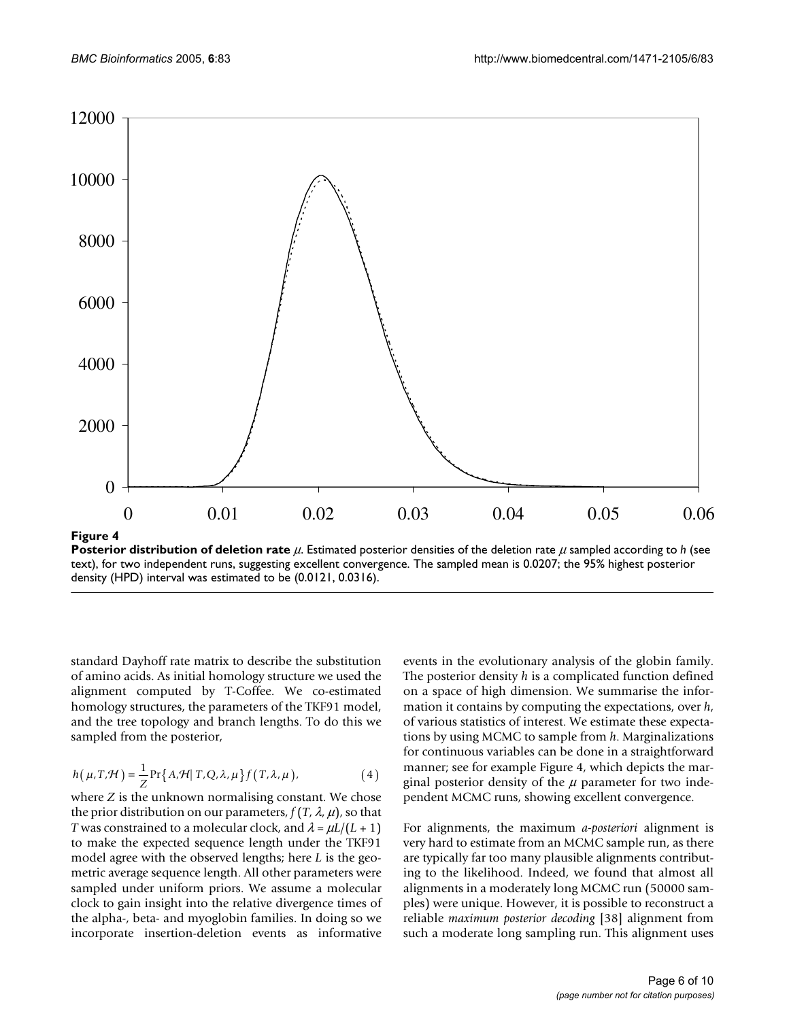

**Posterior distribution of deletion rate** µ. Estimated posterior densities of the deletion rate µ sampled according to *h* (see text), for two independent runs, suggesting excellent convergence. The sampled mean is 0.0207; the 95% highest posterior density (HPD) interval was estimated to be (0.0121, 0.0316).

standard Dayhoff rate matrix to describe the substitution of amino acids. As initial homology structure we used the alignment computed by T-Coffee. We co-estimated homology structures, the parameters of the TKF91 model, and the tree topology and branch lengths. To do this we sampled from the posterior,

$$
h(\mu, T, \mathcal{H}) = \frac{1}{Z} \Pr\{A, \mathcal{H} | T, Q, \lambda, \mu\} f(T, \lambda, \mu), \tag{4}
$$

where *Z* is the unknown normalising constant. We chose the prior distribution on our parameters,  $f(T, \lambda, \mu)$ , so that *T* was constrained to a molecular clock, and  $\lambda = \mu L/(L + 1)$ to make the expected sequence length under the TKF91 model agree with the observed lengths; here *L* is the geometric average sequence length. All other parameters were sampled under uniform priors. We assume a molecular clock to gain insight into the relative divergence times of the alpha-, beta- and myoglobin families. In doing so we incorporate insertion-deletion events as informative events in the evolutionary analysis of the globin family. The posterior density *h* is a complicated function defined on a space of high dimension. We summarise the information it contains by computing the expectations, over *h*, of various statistics of interest. We estimate these expectations by using MCMC to sample from *h*. Marginalizations for continuous variables can be done in a straightforward manner; see for example Figure 4, which depicts the marginal posterior density of the  $\mu$  parameter for two independent MCMC runs, showing excellent convergence.

For alignments, the maximum *a-posteriori* alignment is very hard to estimate from an MCMC sample run, as there are typically far too many plausible alignments contributing to the likelihood. Indeed, we found that almost all alignments in a moderately long MCMC run (50000 samples) were unique. However, it is possible to reconstruct a reliable *maximum posterior decoding* [38] alignment from such a moderate long sampling run. This alignment uses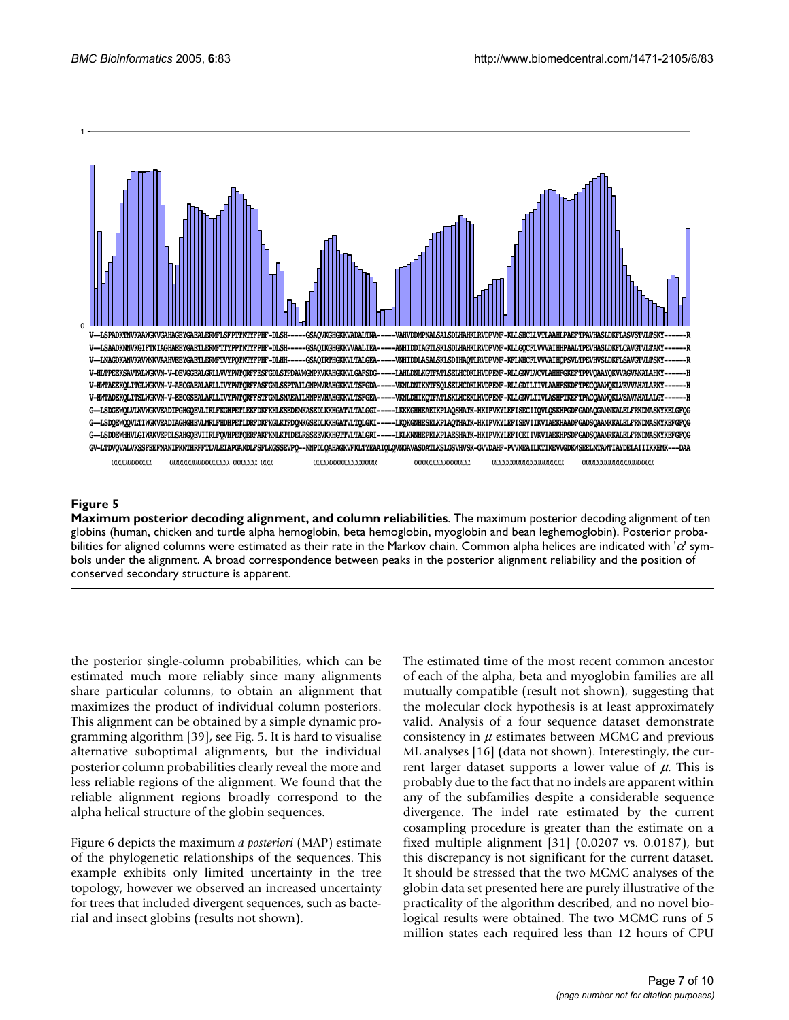

**Maximum posterior decoding alignment, and column reliabilities**. The maximum posterior decoding alignment of ten globins (human, chicken and turtle alpha hemoglobin, beta hemoglobin, myoglobin and bean leghemoglobin). Posterior probabilities for aligned columns were estimated as their rate in the Markov chain. Common alpha helices are indicated with ' $\alpha'$  symbols under the alignment. A broad correspondence between peaks in the posterior alignment reliability and the position of conserved secondary structure is apparent.

the posterior single-column probabilities, which can be estimated much more reliably since many alignments share particular columns, to obtain an alignment that maximizes the product of individual column posteriors. This alignment can be obtained by a simple dynamic programming algorithm [39], see Fig. 5. It is hard to visualise alternative suboptimal alignments, but the individual posterior column probabilities clearly reveal the more and less reliable regions of the alignment. We found that the reliable alignment regions broadly correspond to the alpha helical structure of the globin sequences.

Figure [6](#page-7-0) depicts the maximum *a posteriori* (MAP) estimate of the phylogenetic relationships of the sequences. This example exhibits only limited uncertainty in the tree topology, however we observed an increased uncertainty for trees that included divergent sequences, such as bacterial and insect globins (results not shown).

The estimated time of the most recent common ancestor of each of the alpha, beta and myoglobin families are all mutually compatible (result not shown), suggesting that the molecular clock hypothesis is at least approximately valid. Analysis of a four sequence dataset demonstrate consistency in  $\mu$  estimates between MCMC and previous ML analyses [16] (data not shown). Interestingly, the current larger dataset supports a lower value of  $\mu$ . This is probably due to the fact that no indels are apparent within any of the subfamilies despite a considerable sequence divergence. The indel rate estimated by the current cosampling procedure is greater than the estimate on a fixed multiple alignment [31] (0.0207 vs. 0.0187), but this discrepancy is not significant for the current dataset. It should be stressed that the two MCMC analyses of the globin data set presented here are purely illustrative of the practicality of the algorithm described, and no novel biological results were obtained. The two MCMC runs of 5 million states each required less than 12 hours of CPU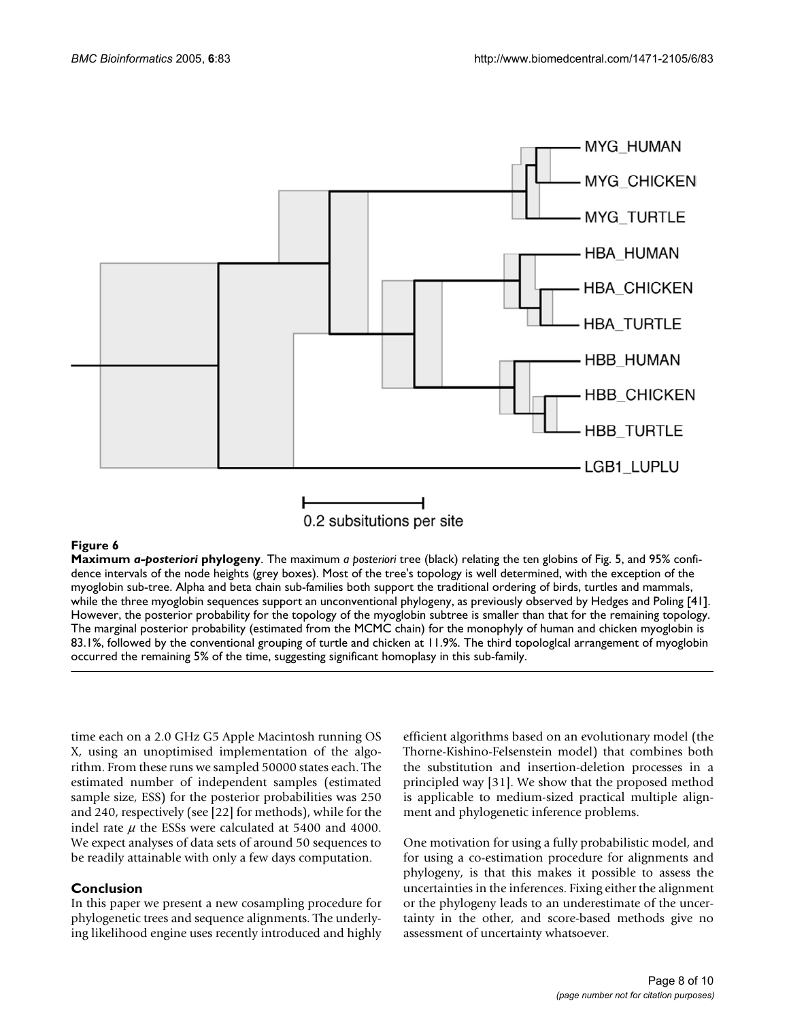<span id="page-7-0"></span>

**Maximum** *a-posteriori* **phylogeny**. The maximum *a posteriori* tree (black) relating the ten globins of Fig. 5, and 95% confidence intervals of the node heights (grey boxes). Most of the tree's topology is well determined, with the exception of the myoglobin sub-tree. Alpha and beta chain sub-families both support the traditional ordering of birds, turtles and mammals, while the three myoglobin sequences support an unconventional phylogeny, as previously observed by Hedges and Poling [41]. However, the posterior probability for the topology of the myoglobin subtree is smaller than that for the remaining topology. The marginal posterior probability (estimated from the MCMC chain) for the monophyly of human and chicken myoglobin is 83.1%, followed by the conventional grouping of turtle and chicken at 11.9%. The third topologlcal arrangement of myoglobin occurred the remaining 5% of the time, suggesting significant homoplasy in this sub-family.

time each on a 2.0 GHz G5 Apple Macintosh running OS X, using an unoptimised implementation of the algorithm. From these runs we sampled 50000 states each. The estimated number of independent samples (estimated sample size, ESS) for the posterior probabilities was 250 and 240, respectively (see [22] for methods), while for the indel rate  $\mu$  the ESSs were calculated at 5400 and 4000. We expect analyses of data sets of around 50 sequences to be readily attainable with only a few days computation.

#### **Conclusion**

In this paper we present a new cosampling procedure for phylogenetic trees and sequence alignments. The underlying likelihood engine uses recently introduced and highly efficient algorithms based on an evolutionary model (the Thorne-Kishino-Felsenstein model) that combines both the substitution and insertion-deletion processes in a principled way [31]. We show that the proposed method is applicable to medium-sized practical multiple alignment and phylogenetic inference problems.

One motivation for using a fully probabilistic model, and for using a co-estimation procedure for alignments and phylogeny, is that this makes it possible to assess the uncertainties in the inferences. Fixing either the alignment or the phylogeny leads to an underestimate of the uncertainty in the other, and score-based methods give no assessment of uncertainty whatsoever.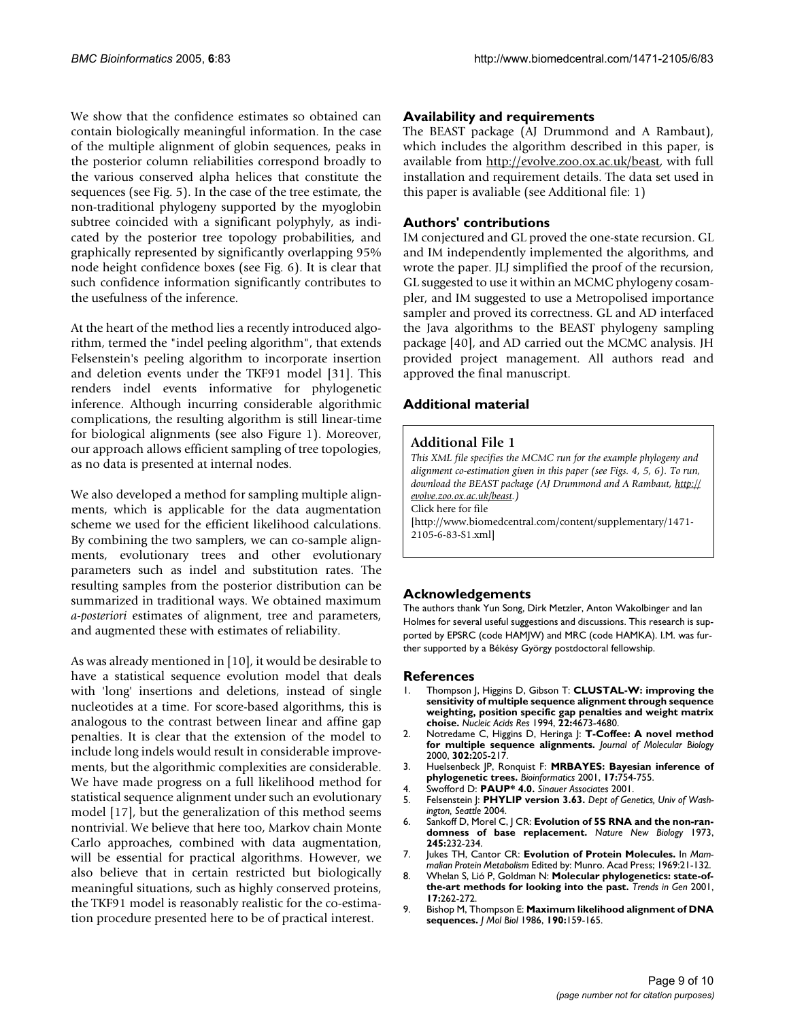We show that the confidence estimates so obtained can contain biologically meaningful information. In the case of the multiple alignment of globin sequences, peaks in the posterior column reliabilities correspond broadly to the various conserved alpha helices that constitute the sequences (see Fig. 5). In the case of the tree estimate, the non-traditional phylogeny supported by the myoglobin subtree coincided with a significant polyphyly, as indicated by the posterior tree topology probabilities, and graphically represented by significantly overlapping 95% node height confidence boxes (see Fig. [6](#page-7-0)). It is clear that such confidence information significantly contributes to the usefulness of the inference.

At the heart of the method lies a recently introduced algorithm, termed the "indel peeling algorithm", that extends Felsenstein's peeling algorithm to incorporate insertion and deletion events under the TKF91 model [31]. This renders indel events informative for phylogenetic inference. Although incurring considerable algorithmic complications, the resulting algorithm is still linear-time for biological alignments (see also Figure 1). Moreover, our approach allows efficient sampling of tree topologies, as no data is presented at internal nodes.

We also developed a method for sampling multiple alignments, which is applicable for the data augmentation scheme we used for the efficient likelihood calculations. By combining the two samplers, we can co-sample alignments, evolutionary trees and other evolutionary parameters such as indel and substitution rates. The resulting samples from the posterior distribution can be summarized in traditional ways. We obtained maximum *a-posteriori* estimates of alignment, tree and parameters, and augmented these with estimates of reliability.

As was already mentioned in [10], it would be desirable to have a statistical sequence evolution model that deals with 'long' insertions and deletions, instead of single nucleotides at a time. For score-based algorithms, this is analogous to the contrast between linear and affine gap penalties. It is clear that the extension of the model to include long indels would result in considerable improvements, but the algorithmic complexities are considerable. We have made progress on a full likelihood method for statistical sequence alignment under such an evolutionary model [17], but the generalization of this method seems nontrivial. We believe that here too, Markov chain Monte Carlo approaches, combined with data augmentation, will be essential for practical algorithms. However, we also believe that in certain restricted but biologically meaningful situations, such as highly conserved proteins, the TKF91 model is reasonably realistic for the co-estimation procedure presented here to be of practical interest.

## **Availability and requirements**

The BEAST package (AJ Drummond and A Rambaut), which includes the algorithm described in this paper, is available from <http://evolve.zoo.ox.ac.uk/beast>, with full installation and requirement details. The data set used in this paper is avaliable (see Additional file: 1)

## **Authors' contributions**

IM conjectured and GL proved the one-state recursion. GL and IM independently implemented the algorithms, and wrote the paper. JLJ simplified the proof of the recursion, GL suggested to use it within an MCMC phylogeny cosampler, and IM suggested to use a Metropolised importance sampler and proved its correctness. GL and AD interfaced the Java algorithms to the BEAST phylogeny sampling package [40], and AD carried out the MCMC analysis. JH provided project management. All authors read and approved the final manuscript.

## **Additional material**

#### **Additional File 1**

*This XML file specifies the MCMC run for the example phylogeny and alignment co-estimation given in this paper (see Figs. 4, 5, [6](#page-7-0)). To run, download the BEAST package (AJ Drummond and A Rambaut, [http://](http://evolve.zoo.ox.ac.uk/beast) [evolve.zoo.ox.ac.uk/beast.](http://evolve.zoo.ox.ac.uk/beast))* Click here for file [\[http://www.biomedcentral.com/content/supplementary/1471-](http://www.biomedcentral.com/content/supplementary/1471-2105-6-83-S1.xml) 2105-6-83-S1.xml]

#### **Acknowledgements**

The authors thank Yun Song, Dirk Metzler, Anton Wakolbinger and Ian Holmes for several useful suggestions and discussions. This research is supported by EPSRC (code HAMJW) and MRC (code HAMKA). I.M. was further supported by a Békésy György postdoctoral fellowship.

#### **References**

- 1. Thompson J, Higgins D, Gibson T: **[CLUSTAL-W: improving the](http://www.ncbi.nlm.nih.gov/entrez/query.fcgi?cmd=Retrieve&db=PubMed&dopt=Abstract&list_uids=7984417) [sensitivity of multiple sequence alignment through sequence](http://www.ncbi.nlm.nih.gov/entrez/query.fcgi?cmd=Retrieve&db=PubMed&dopt=Abstract&list_uids=7984417) weighting, position specific gap penalties and weight matrix [choise.](http://www.ncbi.nlm.nih.gov/entrez/query.fcgi?cmd=Retrieve&db=PubMed&dopt=Abstract&list_uids=7984417)** *Nucleic Acids Res* 1994, **22:**4673-4680.
- 2. Notredame C, Higgins D, Heringa J: **[T-Coffee: A novel method](http://www.ncbi.nlm.nih.gov/entrez/query.fcgi?cmd=Retrieve&db=PubMed&dopt=Abstract&list_uids=10964570) [for multiple sequence alignments.](http://www.ncbi.nlm.nih.gov/entrez/query.fcgi?cmd=Retrieve&db=PubMed&dopt=Abstract&list_uids=10964570)** *Journal of Molecular Biology* 2000, **302:**205-217.
- 3. Huelsenbeck JP, Ronquist F: **[MRBAYES: Bayesian inference of](http://www.ncbi.nlm.nih.gov/entrez/query.fcgi?cmd=Retrieve&db=PubMed&dopt=Abstract&list_uids=11524383) [phylogenetic trees.](http://www.ncbi.nlm.nih.gov/entrez/query.fcgi?cmd=Retrieve&db=PubMed&dopt=Abstract&list_uids=11524383)** *Bioinformatics* 2001, **17:**754-755.
- 4. Swofford D: **PAUP\* 4.0.** *Sinauer Associates* 2001.
- 5. Felsenstein J: **PHYLIP version 3.63.** *Dept of Genetics, Univ of Washington, Seattle* 2004.
- 6. Sankoff D, Morel C, J CR: **[Evolution of 5S RNA and the non-ran](http://www.ncbi.nlm.nih.gov/entrez/query.fcgi?cmd=Retrieve&db=PubMed&dopt=Abstract&list_uids=4201431)[domness of base replacement.](http://www.ncbi.nlm.nih.gov/entrez/query.fcgi?cmd=Retrieve&db=PubMed&dopt=Abstract&list_uids=4201431)** *Nature New Biology* 1973, **245:**232-234.
- 7. Jukes TH, Cantor CR: **Evolution of Protein Molecules.** In *Mammalian Protein Metabolism* Edited by: Munro. Acad Press; 1969:21-132.
- 8. Whelan S, Lió P, Goldman N: **Molecular phylogenetics: state-ofthe-art methods for looking into the past.** *Trends in Gen* 2001, **17:**262-272.
- 9. Bishop M, Thompson E: **[Maximum likelihood alignment of DNA](http://www.ncbi.nlm.nih.gov/entrez/query.fcgi?cmd=Retrieve&db=PubMed&dopt=Abstract&list_uids=3641921) [sequences.](http://www.ncbi.nlm.nih.gov/entrez/query.fcgi?cmd=Retrieve&db=PubMed&dopt=Abstract&list_uids=3641921)** *J Mol Biol* 1986, **190:**159-165.